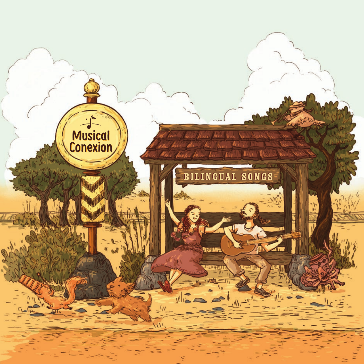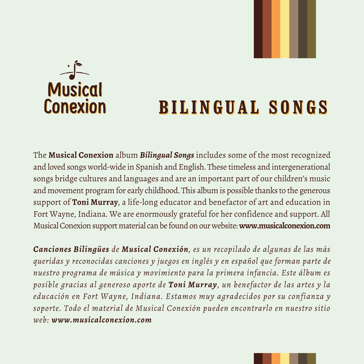

# **BILINGUAL SONGS BILINGUAL SONGS**

The **Musical Conexion** album *Bilingual Songs* includes some of the most recognized and loved songs world-wide in Spanish and English. These timeless and intergenerational songs bridge cultures and languages and are an important part of our children's music and movement program for early childhood. This album is possible thanks to the generous support of **Toni Murray**, a life-long educator and benefactor of art and education in Fort Wayne, Indiana. We are enormously grateful for her confidence and support. All Musical Conexion support material can be found on our website: **www.musicalconexion.com**

*Canciones Bilingües de Musical Conexión, es un recopilado de algunas de las más queridas y reconocidas canciones y juegos en inglés y en español que forman parte de nuestro programa de música y movimiento para la primera infancia. Este álbum es posible gracias al generoso aporte de Toni Murray, un benefactor de las artes y la educación en Fort Wayne, Indiana. Estamos muy agradecidos por su confianza y soporte. Todo el material de Musical Conexión pueden encontrarlo en nuestro sitio web: www.musicalconexion.com*

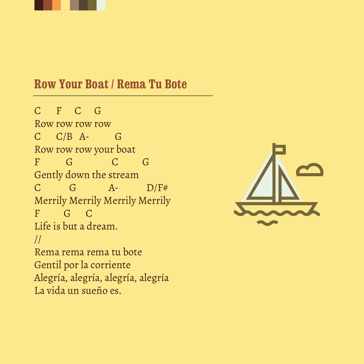

#### **Row Your Boat / Rema Tu Bote**

C F C G Row row row row  $C$   $C/B$   $A$ -  $G$ Row row row your boat<br>F G C  $\overline{C}$  G Gently down the stream  $C$   $G$   $A$ -  $D/F#$ Merrily Merrily Merrily Merrily  $F$   $G$   $C$ Life is but a dream. // Rema rema rema tu bote Gentil por la corriente Alegría, alegría, alegría, alegría La vida un sueño es.

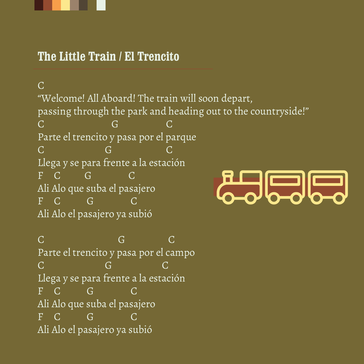

## **The Little Train / El Trencito**

 $\overline{C}$ "Welcome! All Aboard! The train will soon depart, passing through the park and heading out to the countryside!" C G C Parte el trencito y pasa por el parque C G C Llega y se para frente a la estación  $F \quad C \quad G$ <u> Albalba</u> Ali Alo que suba el pasajero  $F \quad C \quad G$ Ali Alo el pasajero ya subió

C G C Parte el trencito y pasa por el campo C G C Llega y se para frente a la estación  $F \quad C \quad G \quad G \quad C$ Ali Alo que suba el pasajero  $F \quad C \quad G$ Ali Alo el pasajero ya subió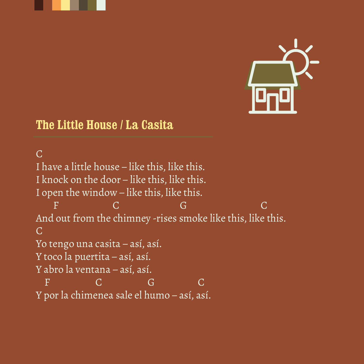



#### **The Little House / La Casita**

 $\overline{C}$ I have a little house – like this, like this. I knock on the door – like this, like this. I open the window – like this, like this. F C G G C And out from the chimney -rises smoke like this, like this. C Yo tengo una casita – así, así. Y toco la puertita – así, así. Y abro la ventana – así, así. F C G C Y por la chimenea sale el humo – así, así.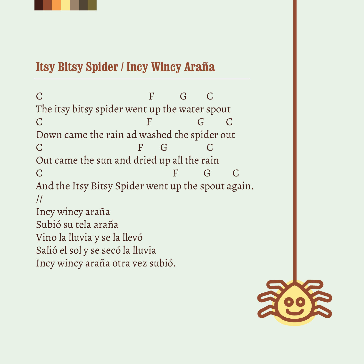

## **Itsy Bitsy Spider / Incy Wincy Araña**

C F G C The itsy bitsy spider went up the water spout C F G C Down came the rain ad washed the spider out C F G C Out came the sun and dried up all the rain C F G C And the Itsy Bitsy Spider went up the spout again. // Incy wincy araña Subió su tela araña Vino la lluvia y se la llevó Salió el sol y se secó la lluvia Incy wincy araña otra vez subió.

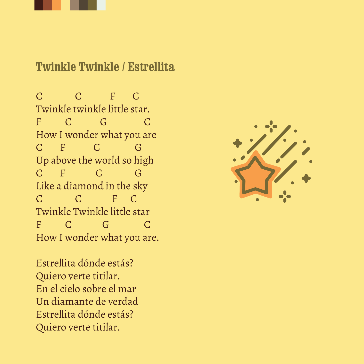

#### **Twinkle Twinkle / Estrellita**

C C F C Twinkle twinkle little star. F C G C How I wonder what you are C F C G Up above the world so high  $C$  F  $C$  G Like a diamond in the sky C C F C Twinkle Twinkle little star F C G C How I wonder what you are.

Estrellita dónde estás? Quiero verte titilar. En el cielo sobre el mar Un diamante de verdad Estrellita dónde estás? Quiero verte titilar.

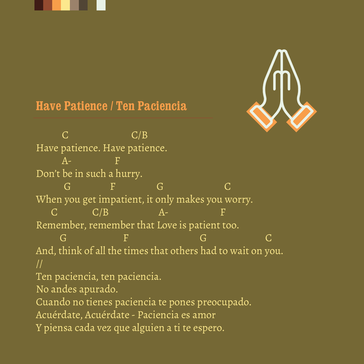



#### **Have Patience / Ten Paciencia**

 $C$   $C/B$ Have patience. Have patience. Don't be in such a hurry. G F G C When you get impatient, it only makes you worry.  $C$   $C/B$   $A$ - F Remember, remember that Love is patient too. G R G C And, think of all the times that others had to wait on you. // Ten paciencia, ten paciencia. No andes apurado. Cuando no tienes paciencia te pones preocupado. Acuérdate, Acuérdate - Paciencia es amor Y piensa cada vez que alguien a ti te espero.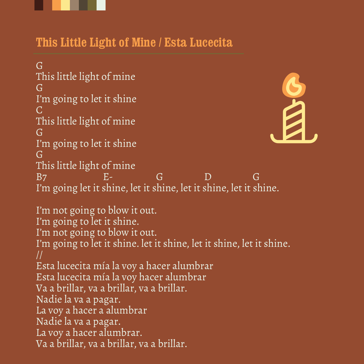

#### **This Little Light of Mine / Esta Lucecita**

G This little light of mine G B I'm going to let it shine  $\Gamma$ This little light of mine G I'm going to let it shine G This little light of mine B7 E- G D G I'm going let it shine, let it shine, let it shine, let it shine. I'm not going to blow it out.

I'm going to let it shine. I'm not going to blow it out. I'm going to let it shine. let it shine, let it shine, let it shine. // Esta lucecita mía la voy a hacer alumbrar Esta lucecita mía la voy hacer alumbrar Va a brillar, va a brillar, va a brillar. Nadie la va a pagar. La voy a hacer a alumbrar Nadie la va a pagar. La voy a hacer alumbrar. Va a brillar, va a brillar, va a brillar.